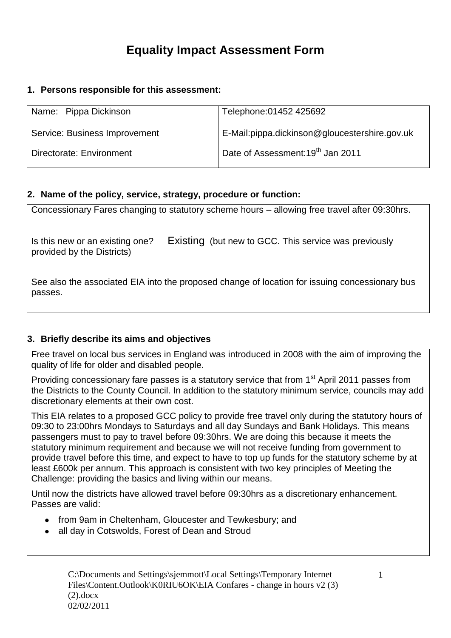# **Equality Impact Assessment Form**

#### **1. Persons responsible for this assessment:**

| Name: Pippa Dickinson         | Telephone: 01452 425692                       |
|-------------------------------|-----------------------------------------------|
| Service: Business Improvement | E-Mail:pippa.dickinson@gloucestershire.gov.uk |
| Directorate: Environment      | Date of Assessment: 19 <sup>th</sup> Jan 2011 |

#### **2. Name of the policy, service, strategy, procedure or function:**

| Concessionary Fares changing to statutory scheme hours – allowing free travel after 09:30hrs.             |                                                       |  |  |  |
|-----------------------------------------------------------------------------------------------------------|-------------------------------------------------------|--|--|--|
|                                                                                                           |                                                       |  |  |  |
| Is this new or an existing one?<br>provided by the Districts)                                             | Existing (but new to GCC. This service was previously |  |  |  |
| See also the associated EIA into the proposed change of location for issuing concessionary bus<br>passes. |                                                       |  |  |  |

#### **3. Briefly describe its aims and objectives**

Free travel on local bus services in England was introduced in 2008 with the aim of improving the quality of life for older and disabled people.

Providing concessionary fare passes is a statutory service that from 1<sup>st</sup> April 2011 passes from the Districts to the County Council. In addition to the statutory minimum service, councils may add discretionary elements at their own cost.

This EIA relates to a proposed GCC policy to provide free travel only during the statutory hours of 09:30 to 23:00hrs Mondays to Saturdays and all day Sundays and Bank Holidays. This means passengers must to pay to travel before 09:30hrs. We are doing this because it meets the statutory minimum requirement and because we will not receive funding from government to provide travel before this time, and expect to have to top up funds for the statutory scheme by at least £600k per annum. This approach is consistent with two key principles of Meeting the Challenge: providing the basics and living within our means.

Until now the districts have allowed travel before 09:30hrs as a discretionary enhancement. Passes are valid:

- from 9am in Cheltenham, Gloucester and Tewkesbury; and
- all day in Cotswolds, Forest of Dean and Stroud $\bullet$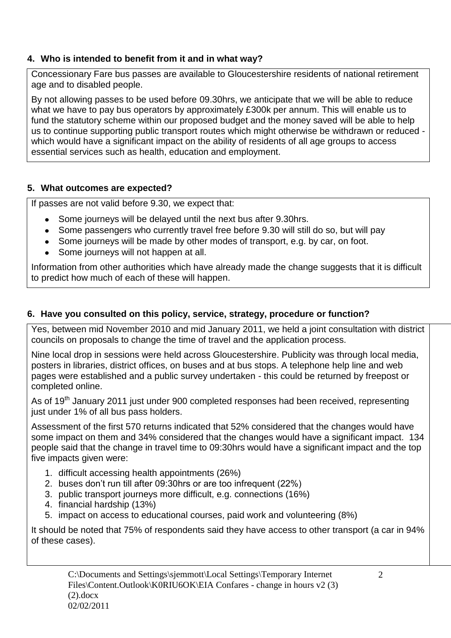# **4. Who is intended to benefit from it and in what way?**

Concessionary Fare bus passes are available to Gloucestershire residents of national retirement age and to disabled people.

By not allowing passes to be used before 09.30hrs, we anticipate that we will be able to reduce what we have to pay bus operators by approximately £300k per annum. This will enable us to fund the statutory scheme within our proposed budget and the money saved will be able to help us to continue supporting public transport routes which might otherwise be withdrawn or reduced which would have a significant impact on the ability of residents of all age groups to access essential services such as health, education and employment.

# **5. What outcomes are expected?**

If passes are not valid before 9.30, we expect that:

- Some journeys will be delayed until the next bus after 9.30hrs.
- Some passengers who currently travel free before 9.30 will still do so, but will pay
- Some journeys will be made by other modes of transport, e.g. by car, on foot.
- Some journeys will not happen at all.

Information from other authorities which have already made the change suggests that it is difficult to predict how much of each of these will happen.

# **6. Have you consulted on this policy, service, strategy, procedure or function?**

Yes, between mid November 2010 and mid January 2011, we held a joint consultation with district councils on proposals to change the time of travel and the application process.

Nine local drop in sessions were held across Gloucestershire. Publicity was through local media, posters in libraries, district offices, on buses and at bus stops. A telephone help line and web pages were established and a public survey undertaken - this could be returned by freepost or completed online.

As of 19<sup>th</sup> January 2011 just under 900 completed responses had been received, representing just under 1% of all bus pass holders.

Assessment of the first 570 returns indicated that 52% considered that the changes would have some impact on them and 34% considered that the changes would have a significant impact. 134 people said that the change in travel time to 09:30hrs would have a significant impact and the top five impacts given were:

- 1. difficult accessing health appointments (26%)
- 2. buses don't run till after 09:30hrs or are too infrequent (22%)
- 3. public transport journeys more difficult, e.g. connections (16%)
- 4. financial hardship (13%)
- 5. impact on access to educational courses, paid work and volunteering (8%)

It should be noted that 75% of respondents said they have access to other transport (a car in 94% of these cases).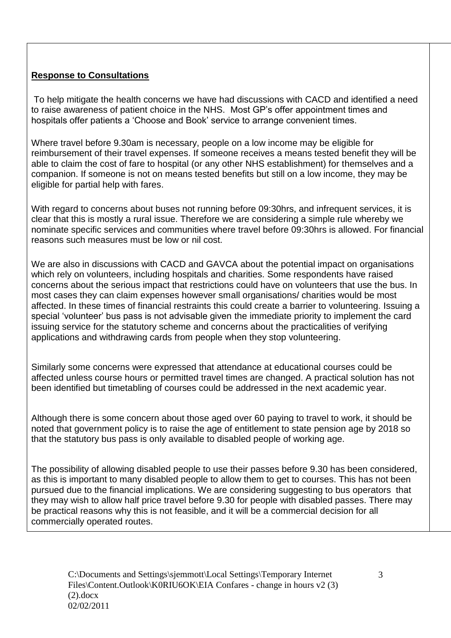# **Response to Consultations**

To help mitigate the health concerns we have had discussions with CACD and identified a need to raise awareness of patient choice in the NHS. Most GP's offer appointment times and hospitals offer patients a 'Choose and Book' service to arrange convenient times.

Where travel before 9.30am is necessary, people on a low income may be eligible for reimbursement of their travel expenses. If someone receives a means tested benefit they will be able to claim the cost of fare to hospital (or any other NHS establishment) for themselves and a companion. If someone is not on means tested benefits but still on a low income, they may be eligible for partial help with fares.

With regard to concerns about buses not running before 09:30hrs, and infrequent services, it is clear that this is mostly a rural issue. Therefore we are considering a simple rule whereby we nominate specific services and communities where travel before 09:30hrs is allowed. For financial reasons such measures must be low or nil cost.

We are also in discussions with CACD and GAVCA about the potential impact on organisations which rely on volunteers, including hospitals and charities. Some respondents have raised concerns about the serious impact that restrictions could have on volunteers that use the bus. In most cases they can claim expenses however small organisations/ charities would be most affected. In these times of financial restraints this could create a barrier to volunteering. Issuing a special 'volunteer' bus pass is not advisable given the immediate priority to implement the card issuing service for the statutory scheme and concerns about the practicalities of verifying applications and withdrawing cards from people when they stop volunteering.

Similarly some concerns were expressed that attendance at educational courses could be affected unless course hours or permitted travel times are changed. A practical solution has not been identified but timetabling of courses could be addressed in the next academic year.

Although there is some concern about those aged over 60 paying to travel to work, it should be noted that government policy is to raise the age of entitlement to state pension age by 2018 so that the statutory bus pass is only available to disabled people of working age.

The possibility of allowing disabled people to use their passes before 9.30 has been considered, as this is important to many disabled people to allow them to get to courses. This has not been pursued due to the financial implications. We are considering suggesting to bus operators that they may wish to allow half price travel before 9.30 for people with disabled passes. There may be practical reasons why this is not feasible, and it will be a commercial decision for all commercially operated routes.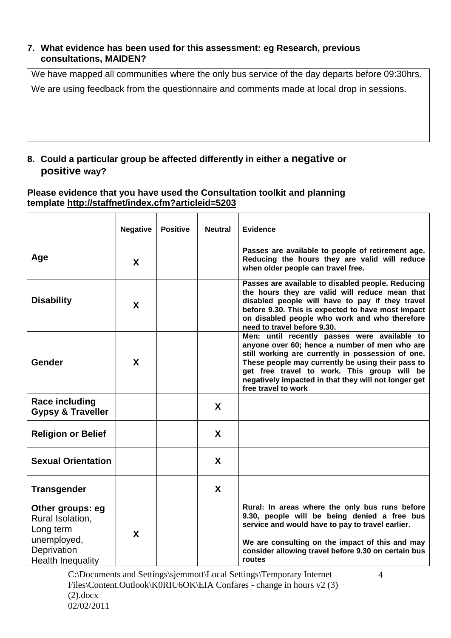#### **7. What evidence has been used for this assessment: eg Research, previous consultations, MAIDEN?**

We have mapped all communities where the only bus service of the day departs before 09:30hrs. We are using feedback from the questionnaire and comments made at local drop in sessions.

### **8. Could a particular group be affected differently in either a negative or positive way?**

#### **Please evidence that you have used the Consultation toolkit and planning template<http://staffnet/index.cfm?articleid=5203>**

|                                                                                                             | <b>Negative</b> | <b>Positive</b> | <b>Neutral</b> | <b>Evidence</b>                                                                                                                                                                                                                                                                                                                       |
|-------------------------------------------------------------------------------------------------------------|-----------------|-----------------|----------------|---------------------------------------------------------------------------------------------------------------------------------------------------------------------------------------------------------------------------------------------------------------------------------------------------------------------------------------|
| Age                                                                                                         | X               |                 |                | Passes are available to people of retirement age.<br>Reducing the hours they are valid will reduce<br>when older people can travel free.                                                                                                                                                                                              |
| <b>Disability</b>                                                                                           | X               |                 |                | Passes are available to disabled people. Reducing<br>the hours they are valid will reduce mean that<br>disabled people will have to pay if they travel<br>before 9.30. This is expected to have most impact<br>on disabled people who work and who therefore<br>need to travel before 9.30.                                           |
| Gender                                                                                                      | X               |                 |                | Men: until recently passes were available to<br>anyone over 60; hence a number of men who are<br>still working are currently in possession of one.<br>These people may currently be using their pass to<br>get free travel to work. This group will be<br>negatively impacted in that they will not longer get<br>free travel to work |
| <b>Race including</b><br><b>Gypsy &amp; Traveller</b>                                                       |                 |                 | X              |                                                                                                                                                                                                                                                                                                                                       |
| <b>Religion or Belief</b>                                                                                   |                 |                 | X              |                                                                                                                                                                                                                                                                                                                                       |
| <b>Sexual Orientation</b>                                                                                   |                 |                 | X              |                                                                                                                                                                                                                                                                                                                                       |
| <b>Transgender</b>                                                                                          |                 |                 | $\mathbf{x}$   |                                                                                                                                                                                                                                                                                                                                       |
| Other groups: eg<br>Rural Isolation,<br>Long term<br>unemployed,<br>Deprivation<br><b>Health Inequality</b> | X               |                 |                | Rural: In areas where the only bus runs before<br>9.30, people will be being denied a free bus<br>service and would have to pay to travel earlier.<br>We are consulting on the impact of this and may<br>consider allowing travel before 9.30 on certain bus<br>routes                                                                |

C:\Documents and Settings\sjemmott\Local Settings\Temporary Internet Files\Content.Outlook\K0RIU6OK\EIA Confares - change in hours v2 (3)  $(2).$ docx 02/02/2011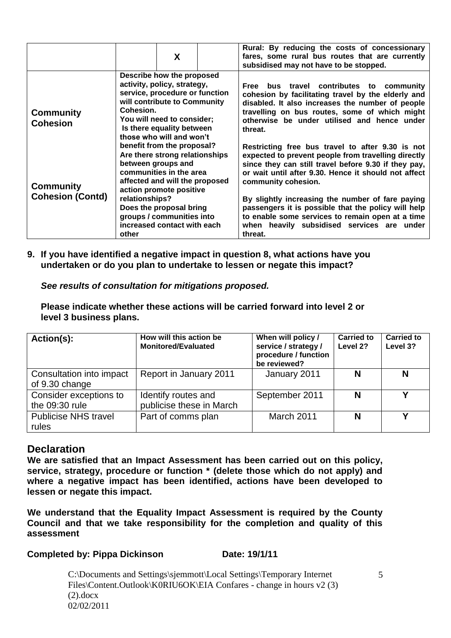|                                             | X                                                                                                                                                                                                                                                                                   | Rural: By reducing the costs of concessionary<br>fares, some rural bus routes that are currently<br>subsidised may not have to be stopped.                                                                                                                                                                                                                                                                                                                                                                                                                                                                                                                                                                                   |  |
|---------------------------------------------|-------------------------------------------------------------------------------------------------------------------------------------------------------------------------------------------------------------------------------------------------------------------------------------|------------------------------------------------------------------------------------------------------------------------------------------------------------------------------------------------------------------------------------------------------------------------------------------------------------------------------------------------------------------------------------------------------------------------------------------------------------------------------------------------------------------------------------------------------------------------------------------------------------------------------------------------------------------------------------------------------------------------------|--|
| <b>Community</b><br><b>Cohesion</b>         | Describe how the proposed<br>activity, policy, strategy,<br>service, procedure or function<br>will contribute to Community<br>Cohesion.<br>You will need to consider;<br>Is there equality between<br>those who will and won't                                                      | Free bus travel contributes to community<br>cohesion by facilitating travel by the elderly and<br>disabled. It also increases the number of people<br>travelling on bus routes, some of which might<br>otherwise be under utilised and hence under<br>threat.<br>Restricting free bus travel to after 9.30 is not<br>expected to prevent people from travelling directly<br>since they can still travel before 9.30 if they pay,<br>or wait until after 9.30. Hence it should not affect<br>community cohesion.<br>By slightly increasing the number of fare paying<br>passengers it is possible that the policy will help<br>to enable some services to remain open at a time<br>when heavily subsidised services are under |  |
| <b>Community</b><br><b>Cohesion (Contd)</b> | benefit from the proposal?<br>Are there strong relationships<br>between groups and<br>communities in the area<br>affected and will the proposed<br>action promote positive<br>relationships?<br>Does the proposal bring<br>groups / communities into<br>increased contact with each |                                                                                                                                                                                                                                                                                                                                                                                                                                                                                                                                                                                                                                                                                                                              |  |
|                                             | other                                                                                                                                                                                                                                                                               | threat.                                                                                                                                                                                                                                                                                                                                                                                                                                                                                                                                                                                                                                                                                                                      |  |

**9. If you have identified a negative impact in question 8, what actions have you undertaken or do you plan to undertake to lessen or negate this impact?**

*See results of consultation for mitigations proposed.*

**Please indicate whether these actions will be carried forward into level 2 or level 3 business plans.**

| Action(s):                                 | How will this action be<br><b>Monitored/Evaluated</b> | When will policy /<br>service / strategy /<br>procedure / function<br>be reviewed? | <b>Carried to</b><br>Level 2? | <b>Carried to</b><br>Level 3? |
|--------------------------------------------|-------------------------------------------------------|------------------------------------------------------------------------------------|-------------------------------|-------------------------------|
| Consultation into impact<br>of 9.30 change | Report in January 2011                                | January 2011                                                                       | N                             | N                             |
| Consider exceptions to<br>the 09:30 rule   | Identify routes and<br>publicise these in March       | September 2011                                                                     | N                             | v                             |
| <b>Publicise NHS travel</b><br>rules       | Part of comms plan                                    | March 2011                                                                         | N                             | v                             |

# **Declaration**

**We are satisfied that an Impact Assessment has been carried out on this policy, service, strategy, procedure or function \* (delete those which do not apply) and where a negative impact has been identified, actions have been developed to lessen or negate this impact.**

**We understand that the Equality Impact Assessment is required by the County Council and that we take responsibility for the completion and quality of this assessment** 

**Completed by: Pippa Dickinson <b>Date:** 19/1/11

C:\Documents and Settings\sjemmott\Local Settings\Temporary Internet Files\Content.Outlook\K0RIU6OK\EIA Confares - change in hours v2 (3)  $(2)$ .docx 02/02/2011